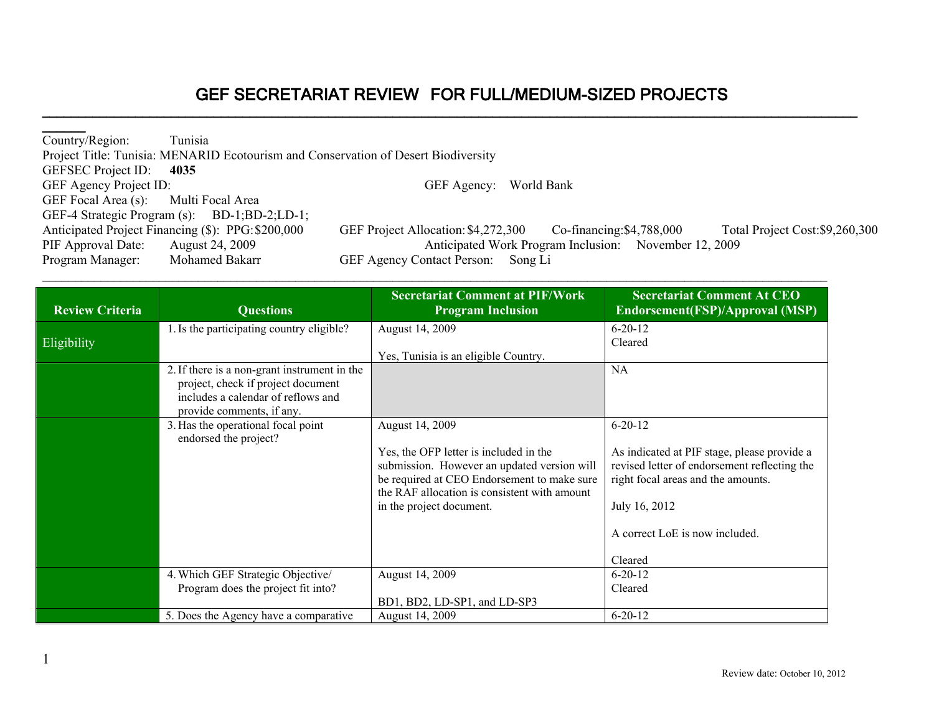**\_\_\_\_\_\_\_\_\_\_\_\_\_\_\_\_\_\_\_\_\_\_\_\_\_\_\_\_\_\_\_\_\_\_\_\_\_\_\_\_\_\_\_\_\_\_\_\_\_\_\_\_\_\_\_\_\_\_\_\_\_\_\_\_\_\_\_\_\_\_\_\_\_\_\_\_\_\_\_\_\_\_\_\_\_\_\_\_\_\_\_\_\_\_\_\_\_\_\_\_\_\_\_\_\_\_\_\_\_\_\_\_\_\_**

| Country/Region:                      | Tunisia                                                                            |                                                                                                  |
|--------------------------------------|------------------------------------------------------------------------------------|--------------------------------------------------------------------------------------------------|
|                                      | Project Title: Tunisia: MENARID Ecotourism and Conservation of Desert Biodiversity |                                                                                                  |
| <b>GEFSEC</b> Project ID:            | 4035                                                                               |                                                                                                  |
| GEF Agency Project ID:               |                                                                                    | GEF Agency: World Bank                                                                           |
| GEF Focal Area (s): Multi Focal Area |                                                                                    |                                                                                                  |
|                                      | GEF-4 Strategic Program (s): BD-1;BD-2;LD-1;                                       |                                                                                                  |
|                                      | Anticipated Project Financing (\$): PPG: \$200,000                                 | Total Project Cost: \$9,260,300<br>GEF Project Allocation: \$4,272,300 Co-financing: \$4,788,000 |
| PIF Approval Date: August 24, 2009   |                                                                                    | Anticipated Work Program Inclusion: November 12, 2009                                            |
| Program Manager:                     | Mohamed Bakarr                                                                     | GEF Agency Contact Person: Song Li                                                               |

| <b>Review Criteria</b> | <b>Questions</b>                                                                                                                                      | <b>Secretariat Comment at PIF/Work</b><br><b>Program Inclusion</b>                                                                                                                   | <b>Secretariat Comment At CEO</b><br>Endorsement(FSP)/Approval (MSP)                                                              |
|------------------------|-------------------------------------------------------------------------------------------------------------------------------------------------------|--------------------------------------------------------------------------------------------------------------------------------------------------------------------------------------|-----------------------------------------------------------------------------------------------------------------------------------|
| <b>Eligibility</b>     | 1. Is the participating country eligible?                                                                                                             | August 14, 2009                                                                                                                                                                      | $6 - 20 - 12$<br>Cleared                                                                                                          |
|                        |                                                                                                                                                       | Yes, Tunisia is an eligible Country.                                                                                                                                                 |                                                                                                                                   |
|                        | 2. If there is a non-grant instrument in the<br>project, check if project document<br>includes a calendar of reflows and<br>provide comments, if any. |                                                                                                                                                                                      | <b>NA</b>                                                                                                                         |
|                        | 3. Has the operational focal point<br>endorsed the project?                                                                                           | August 14, 2009                                                                                                                                                                      | $6 - 20 - 12$                                                                                                                     |
|                        |                                                                                                                                                       | Yes, the OFP letter is included in the<br>submission. However an updated version will<br>be required at CEO Endorsement to make sure<br>the RAF allocation is consistent with amount | As indicated at PIF stage, please provide a<br>revised letter of endorsement reflecting the<br>right focal areas and the amounts. |
|                        |                                                                                                                                                       | in the project document.                                                                                                                                                             | July 16, 2012                                                                                                                     |
|                        |                                                                                                                                                       |                                                                                                                                                                                      | A correct LoE is now included.                                                                                                    |
|                        |                                                                                                                                                       |                                                                                                                                                                                      | Cleared                                                                                                                           |
|                        | 4. Which GEF Strategic Objective/                                                                                                                     | August 14, 2009                                                                                                                                                                      | $6 - 20 - 12$                                                                                                                     |
|                        | Program does the project fit into?                                                                                                                    | BD1, BD2, LD-SP1, and LD-SP3                                                                                                                                                         | Cleared                                                                                                                           |
|                        | 5. Does the Agency have a comparative                                                                                                                 | August 14, 2009                                                                                                                                                                      | $6 - 20 - 12$                                                                                                                     |

 $\mathcal{L}_\mathcal{L} = \mathcal{L}_\mathcal{L} = \mathcal{L}_\mathcal{L} = \mathcal{L}_\mathcal{L} = \mathcal{L}_\mathcal{L} = \mathcal{L}_\mathcal{L} = \mathcal{L}_\mathcal{L} = \mathcal{L}_\mathcal{L} = \mathcal{L}_\mathcal{L} = \mathcal{L}_\mathcal{L} = \mathcal{L}_\mathcal{L} = \mathcal{L}_\mathcal{L} = \mathcal{L}_\mathcal{L} = \mathcal{L}_\mathcal{L} = \mathcal{L}_\mathcal{L} = \mathcal{L}_\mathcal{L} = \mathcal{L}_\mathcal{L}$ 

**\_\_\_\_\_\_**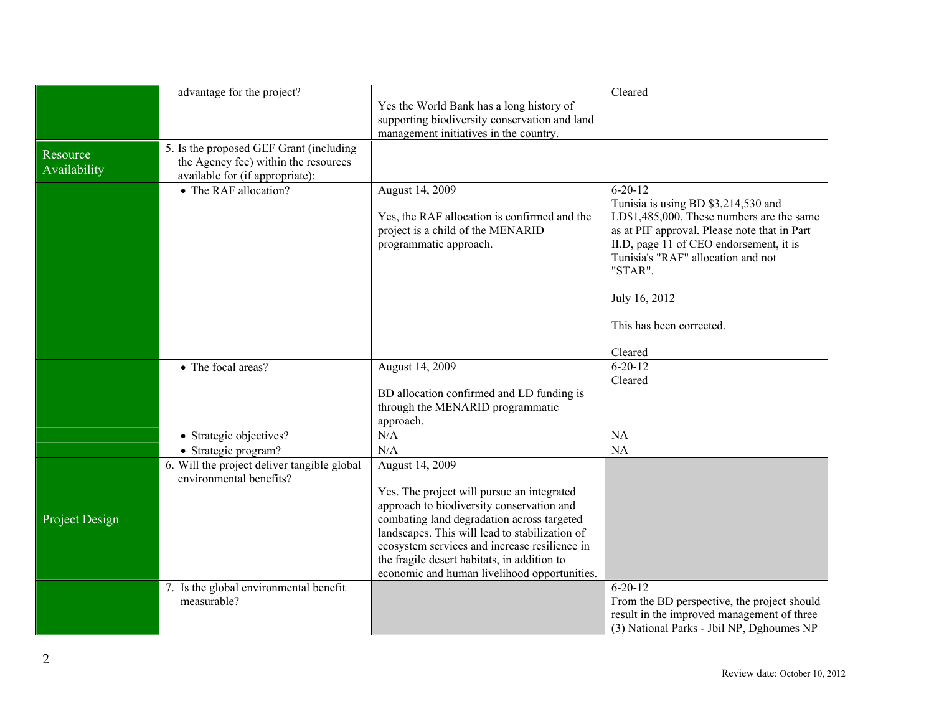|                | advantage for the project?                  |                                                                                              | Cleared                                                                       |
|----------------|---------------------------------------------|----------------------------------------------------------------------------------------------|-------------------------------------------------------------------------------|
|                |                                             | Yes the World Bank has a long history of                                                     |                                                                               |
|                |                                             | supporting biodiversity conservation and land                                                |                                                                               |
|                |                                             | management initiatives in the country.                                                       |                                                                               |
| Resource       | 5. Is the proposed GEF Grant (including     |                                                                                              |                                                                               |
| Availability   | the Agency fee) within the resources        |                                                                                              |                                                                               |
|                | available for (if appropriate):             |                                                                                              |                                                                               |
|                | • The RAF allocation?                       | August 14, 2009                                                                              | $6 - 20 - 12$                                                                 |
|                |                                             |                                                                                              | Tunisia is using BD \$3,214,530 and                                           |
|                |                                             | Yes, the RAF allocation is confirmed and the                                                 | LD\$1,485,000. These numbers are the same                                     |
|                |                                             | project is a child of the MENARID                                                            | as at PIF approval. Please note that in Part                                  |
|                |                                             | programmatic approach.                                                                       | II.D, page 11 of CEO endorsement, it is<br>Tunisia's "RAF" allocation and not |
|                |                                             |                                                                                              | "STAR".                                                                       |
|                |                                             |                                                                                              |                                                                               |
|                |                                             |                                                                                              | July 16, 2012                                                                 |
|                |                                             |                                                                                              |                                                                               |
|                |                                             |                                                                                              | This has been corrected.                                                      |
|                |                                             |                                                                                              |                                                                               |
|                |                                             |                                                                                              | Cleared                                                                       |
|                | • The focal areas?                          | August 14, 2009                                                                              | $6 - 20 - 12$                                                                 |
|                |                                             |                                                                                              | Cleared                                                                       |
|                |                                             | BD allocation confirmed and LD funding is<br>through the MENARID programmatic                |                                                                               |
|                |                                             | approach.                                                                                    |                                                                               |
|                | • Strategic objectives?                     | N/A                                                                                          | <b>NA</b>                                                                     |
|                | • Strategic program?                        | N/A                                                                                          | <b>NA</b>                                                                     |
|                | 6. Will the project deliver tangible global | August 14, 2009                                                                              |                                                                               |
|                | environmental benefits?                     |                                                                                              |                                                                               |
|                |                                             | Yes. The project will pursue an integrated                                                   |                                                                               |
|                |                                             | approach to biodiversity conservation and                                                    |                                                                               |
| Project Design |                                             | combating land degradation across targeted                                                   |                                                                               |
|                |                                             | landscapes. This will lead to stabilization of                                               |                                                                               |
|                |                                             | ecosystem services and increase resilience in<br>the fragile desert habitats, in addition to |                                                                               |
|                |                                             | economic and human livelihood opportunities.                                                 |                                                                               |
|                | 7. Is the global environmental benefit      |                                                                                              | $6 - 20 - 12$                                                                 |
|                | measurable?                                 |                                                                                              | From the BD perspective, the project should                                   |
|                |                                             |                                                                                              | result in the improved management of three                                    |
|                |                                             |                                                                                              | (3) National Parks - Jbil NP, Dghoumes NP                                     |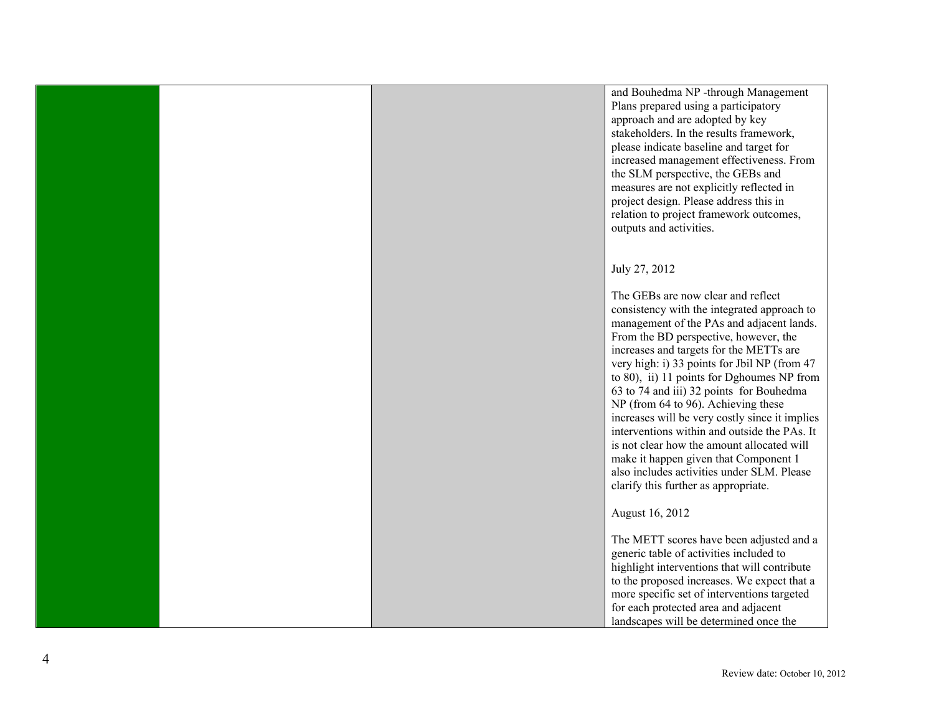and Bouhedma NP -through Management Plans prepared using a participatory approach and are adopted by key stakeholders. In the results framework, please indicate baseline and target for increased management effectiveness. From the SLM perspective, the GEBs and measures are not explicitly reflected in project design. Please address this in relation to project framework outcomes, outputs and activities.

## July 27, 2012

The GEBs are now clear and reflect consistency with the integrated approach to management of the PAs and adjacent lands. From the BD perspective, however, the increases and targets for the METTs are very high: i) 33 points for Jbil NP (from 47 to 80), ii) 11 points for Dghoumes NP from 63 to 74 and iii) 32 points for Bouhedma NP (from 64 to 96). Achieving these increases will be very costly since it implies interventions within and outside the PAs. It is not clear how the amount allocated will make it happen given that Component 1 also includes activities under SLM. Please clarify this further as appropriate.

August 16, 2012

The METT scores have been adjusted and a generic table of activities included to highlight interventions that will contribute to the proposed increases. We expect that a more specific set of interventions targeted for each protected area and adjacent landscapes will be determined once the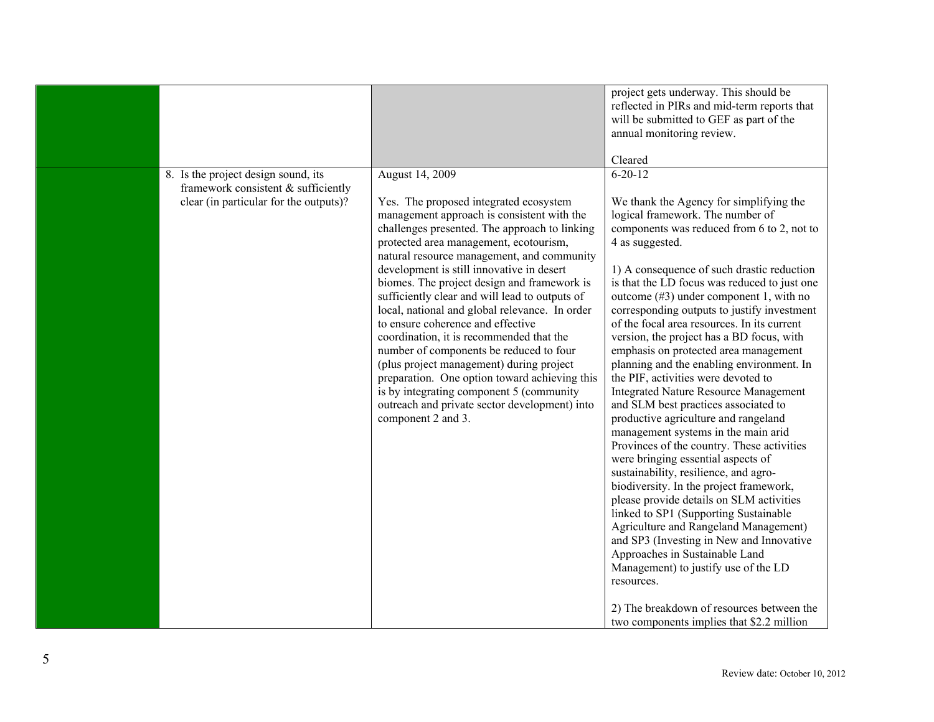|                                                                                                                         |                                                                                                                                                                                                                                                                                                                                                                                                                                                                                                                                                                                                                                                                                                                                                                                              | project gets underway. This should be<br>reflected in PIRs and mid-term reports that<br>will be submitted to GEF as part of the<br>annual monitoring review.<br>Cleared                                                                                                                                                                                                                                                                                                                                                                                                                                                                                                                                                                                                                                                                                                                                                                                                                                                                                                                                                                                                                                                                                                                      |
|-------------------------------------------------------------------------------------------------------------------------|----------------------------------------------------------------------------------------------------------------------------------------------------------------------------------------------------------------------------------------------------------------------------------------------------------------------------------------------------------------------------------------------------------------------------------------------------------------------------------------------------------------------------------------------------------------------------------------------------------------------------------------------------------------------------------------------------------------------------------------------------------------------------------------------|----------------------------------------------------------------------------------------------------------------------------------------------------------------------------------------------------------------------------------------------------------------------------------------------------------------------------------------------------------------------------------------------------------------------------------------------------------------------------------------------------------------------------------------------------------------------------------------------------------------------------------------------------------------------------------------------------------------------------------------------------------------------------------------------------------------------------------------------------------------------------------------------------------------------------------------------------------------------------------------------------------------------------------------------------------------------------------------------------------------------------------------------------------------------------------------------------------------------------------------------------------------------------------------------|
| 8. Is the project design sound, its<br>framework consistent $\&$ sufficiently<br>clear (in particular for the outputs)? | August 14, 2009<br>Yes. The proposed integrated ecosystem<br>management approach is consistent with the<br>challenges presented. The approach to linking<br>protected area management, ecotourism,<br>natural resource management, and community<br>development is still innovative in desert<br>biomes. The project design and framework is<br>sufficiently clear and will lead to outputs of<br>local, national and global relevance. In order<br>to ensure coherence and effective<br>coordination, it is recommended that the<br>number of components be reduced to four<br>(plus project management) during project<br>preparation. One option toward achieving this<br>is by integrating component 5 (community<br>outreach and private sector development) into<br>component 2 and 3. | $6 - 20 - 12$<br>We thank the Agency for simplifying the<br>logical framework. The number of<br>components was reduced from 6 to 2, not to<br>4 as suggested.<br>1) A consequence of such drastic reduction<br>is that the LD focus was reduced to just one<br>outcome $(\#3)$ under component 1, with no<br>corresponding outputs to justify investment<br>of the focal area resources. In its current<br>version, the project has a BD focus, with<br>emphasis on protected area management<br>planning and the enabling environment. In<br>the PIF, activities were devoted to<br><b>Integrated Nature Resource Management</b><br>and SLM best practices associated to<br>productive agriculture and rangeland<br>management systems in the main arid<br>Provinces of the country. These activities<br>were bringing essential aspects of<br>sustainability, resilience, and agro-<br>biodiversity. In the project framework,<br>please provide details on SLM activities<br>linked to SP1 (Supporting Sustainable<br>Agriculture and Rangeland Management)<br>and SP3 (Investing in New and Innovative<br>Approaches in Sustainable Land<br>Management) to justify use of the LD<br>resources.<br>2) The breakdown of resources between the<br>two components implies that \$2.2 million |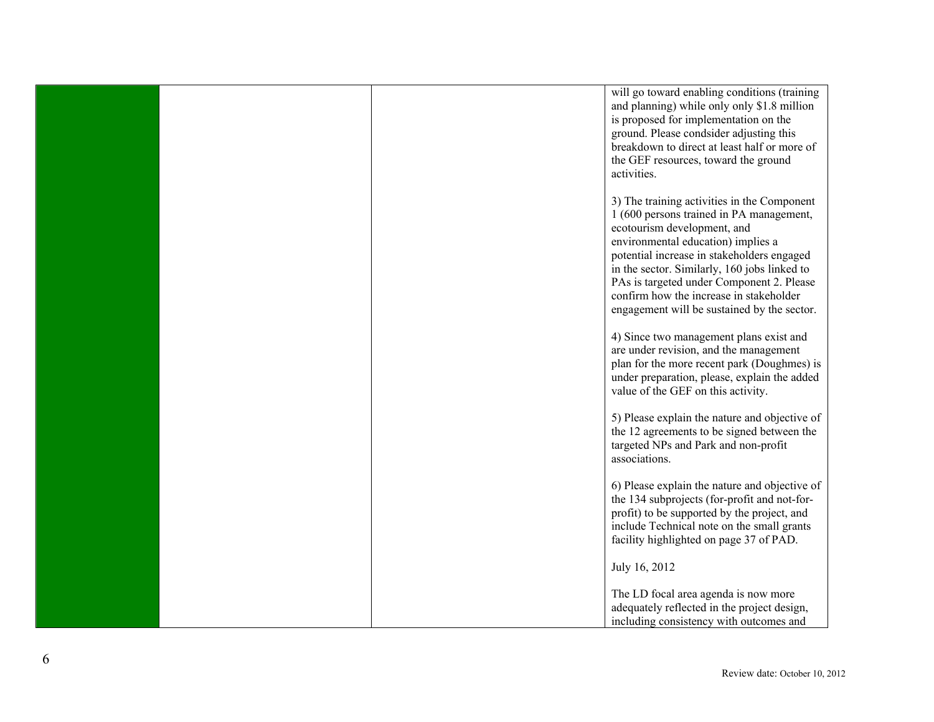|  | will go toward enabling conditions (training<br>and planning) while only only \$1.8 million<br>is proposed for implementation on the<br>ground. Please condsider adjusting this<br>breakdown to direct at least half or more of<br>the GEF resources, toward the ground<br>activities.                                                                                                            |
|--|---------------------------------------------------------------------------------------------------------------------------------------------------------------------------------------------------------------------------------------------------------------------------------------------------------------------------------------------------------------------------------------------------|
|  | 3) The training activities in the Component<br>1 (600 persons trained in PA management,<br>ecotourism development, and<br>environmental education) implies a<br>potential increase in stakeholders engaged<br>in the sector. Similarly, 160 jobs linked to<br>PAs is targeted under Component 2. Please<br>confirm how the increase in stakeholder<br>engagement will be sustained by the sector. |
|  | 4) Since two management plans exist and<br>are under revision, and the management<br>plan for the more recent park (Doughmes) is<br>under preparation, please, explain the added<br>value of the GEF on this activity.                                                                                                                                                                            |
|  | 5) Please explain the nature and objective of<br>the 12 agreements to be signed between the<br>targeted NPs and Park and non-profit<br>associations.                                                                                                                                                                                                                                              |
|  | 6) Please explain the nature and objective of<br>the 134 subprojects (for-profit and not-for-<br>profit) to be supported by the project, and<br>include Technical note on the small grants<br>facility highlighted on page 37 of PAD.                                                                                                                                                             |
|  | July 16, 2012                                                                                                                                                                                                                                                                                                                                                                                     |
|  | The LD focal area agenda is now more<br>adequately reflected in the project design,<br>including consistency with outcomes and                                                                                                                                                                                                                                                                    |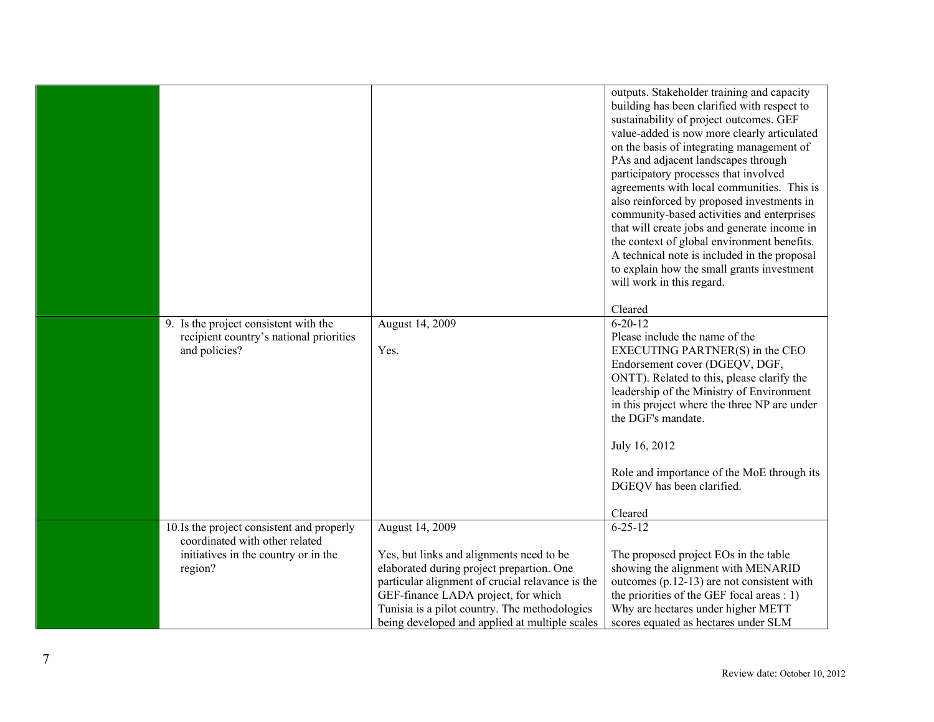| 9. Is the project consistent with the<br>recipient country's national priorities<br>and policies? | August 14, 2009<br>Yes.                                                               | outputs. Stakeholder training and capacity<br>building has been clarified with respect to<br>sustainability of project outcomes. GEF<br>value-added is now more clearly articulated<br>on the basis of integrating management of<br>PAs and adjacent landscapes through<br>participatory processes that involved<br>agreements with local communities. This is<br>also reinforced by proposed investments in<br>community-based activities and enterprises<br>that will create jobs and generate income in<br>the context of global environment benefits.<br>A technical note is included in the proposal<br>to explain how the small grants investment<br>will work in this regard.<br>Cleared<br>$6 - 20 - 12$<br>Please include the name of the<br>EXECUTING PARTNER(S) in the CEO<br>Endorsement cover (DGEQV, DGF,<br>ONTT). Related to this, please clarify the<br>leadership of the Ministry of Environment<br>in this project where the three NP are under<br>the DGF's mandate.<br>July 16, 2012<br>Role and importance of the MoE through its<br>DGEQV has been clarified.<br>Cleared |
|---------------------------------------------------------------------------------------------------|---------------------------------------------------------------------------------------|-------------------------------------------------------------------------------------------------------------------------------------------------------------------------------------------------------------------------------------------------------------------------------------------------------------------------------------------------------------------------------------------------------------------------------------------------------------------------------------------------------------------------------------------------------------------------------------------------------------------------------------------------------------------------------------------------------------------------------------------------------------------------------------------------------------------------------------------------------------------------------------------------------------------------------------------------------------------------------------------------------------------------------------------------------------------------------------------------|
| 10. Is the project consistent and properly                                                        | August 14, 2009                                                                       | $6 - 25 - 12$                                                                                                                                                                                                                                                                                                                                                                                                                                                                                                                                                                                                                                                                                                                                                                                                                                                                                                                                                                                                                                                                                   |
| coordinated with other related                                                                    |                                                                                       |                                                                                                                                                                                                                                                                                                                                                                                                                                                                                                                                                                                                                                                                                                                                                                                                                                                                                                                                                                                                                                                                                                 |
| initiatives in the country or in the<br>region?                                                   | Yes, but links and alignments need to be<br>elaborated during project prepartion. One | The proposed project EOs in the table<br>showing the alignment with MENARID                                                                                                                                                                                                                                                                                                                                                                                                                                                                                                                                                                                                                                                                                                                                                                                                                                                                                                                                                                                                                     |
|                                                                                                   | particular alignment of crucial relavance is the                                      | outcomes $(p.12-13)$ are not consistent with                                                                                                                                                                                                                                                                                                                                                                                                                                                                                                                                                                                                                                                                                                                                                                                                                                                                                                                                                                                                                                                    |
|                                                                                                   | GEF-finance LADA project, for which                                                   | the priorities of the GEF focal areas : 1)                                                                                                                                                                                                                                                                                                                                                                                                                                                                                                                                                                                                                                                                                                                                                                                                                                                                                                                                                                                                                                                      |
|                                                                                                   | Tunisia is a pilot country. The methodologies                                         | Why are hectares under higher METT                                                                                                                                                                                                                                                                                                                                                                                                                                                                                                                                                                                                                                                                                                                                                                                                                                                                                                                                                                                                                                                              |
|                                                                                                   | being developed and applied at multiple scales                                        | scores equated as hectares under SLM                                                                                                                                                                                                                                                                                                                                                                                                                                                                                                                                                                                                                                                                                                                                                                                                                                                                                                                                                                                                                                                            |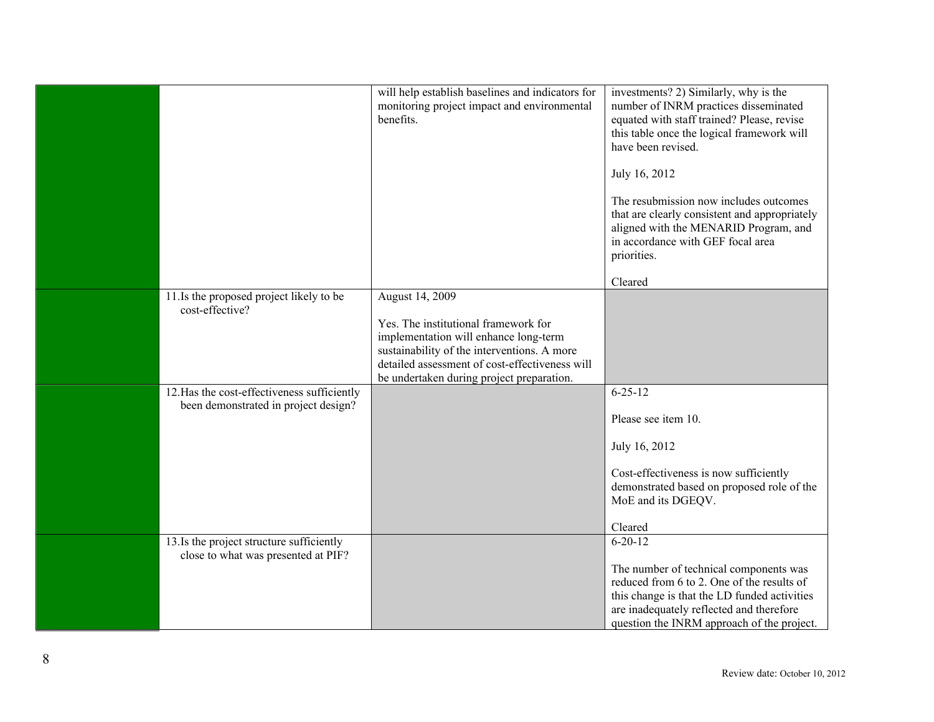|                                                                                     | will help establish baselines and indicators for<br>monitoring project impact and environmental<br>benefits.                                                                                                                                   | investments? 2) Similarly, why is the<br>number of INRM practices disseminated<br>equated with staff trained? Please, revise<br>this table once the logical framework will<br>have been revised.<br>July 16, 2012<br>The resubmission now includes outcomes<br>that are clearly consistent and appropriately<br>aligned with the MENARID Program, and<br>in accordance with GEF focal area<br>priorities. |
|-------------------------------------------------------------------------------------|------------------------------------------------------------------------------------------------------------------------------------------------------------------------------------------------------------------------------------------------|-----------------------------------------------------------------------------------------------------------------------------------------------------------------------------------------------------------------------------------------------------------------------------------------------------------------------------------------------------------------------------------------------------------|
|                                                                                     |                                                                                                                                                                                                                                                | Cleared                                                                                                                                                                                                                                                                                                                                                                                                   |
| 11. Is the proposed project likely to be<br>cost-effective?                         | August 14, 2009<br>Yes. The institutional framework for<br>implementation will enhance long-term<br>sustainability of the interventions. A more<br>detailed assessment of cost-effectiveness will<br>be undertaken during project preparation. |                                                                                                                                                                                                                                                                                                                                                                                                           |
| 12. Has the cost-effectiveness sufficiently<br>been demonstrated in project design? |                                                                                                                                                                                                                                                | $6 - 25 - 12$<br>Please see item 10.<br>July 16, 2012<br>Cost-effectiveness is now sufficiently<br>demonstrated based on proposed role of the<br>MoE and its DGEQV.<br>Cleared                                                                                                                                                                                                                            |
| 13. Is the project structure sufficiently<br>close to what was presented at PIF?    |                                                                                                                                                                                                                                                | $6 - 20 - 12$<br>The number of technical components was<br>reduced from 6 to 2. One of the results of<br>this change is that the LD funded activities<br>are inadequately reflected and therefore<br>question the INRM approach of the project.                                                                                                                                                           |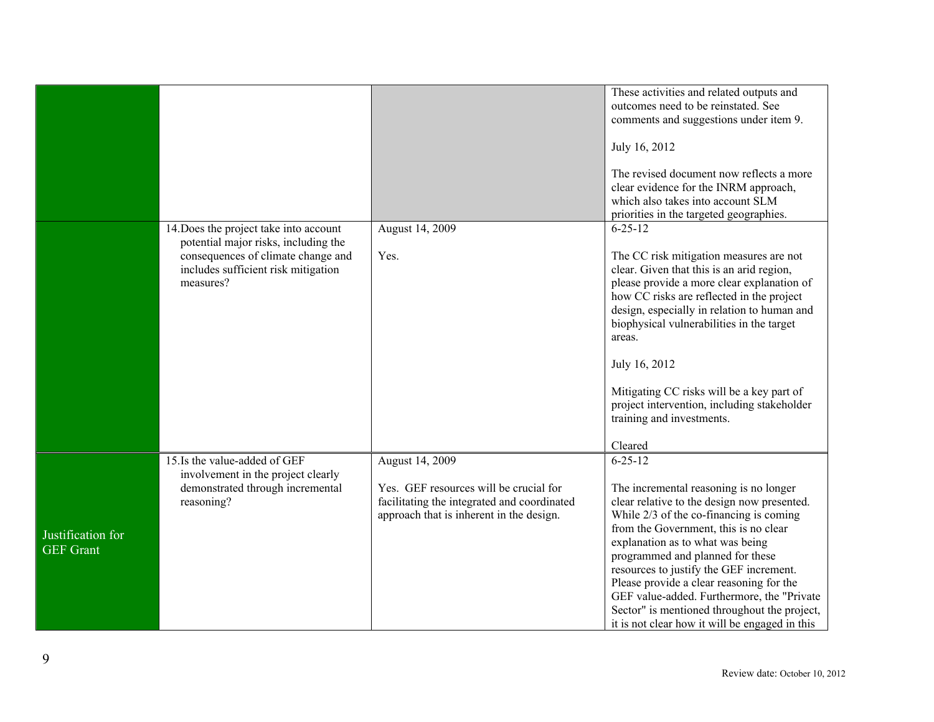|                                       |                                                                                                                                                                          |                                                                                                                                                      | These activities and related outputs and<br>outcomes need to be reinstated. See<br>comments and suggestions under item 9.<br>July 16, 2012<br>The revised document now reflects a more<br>clear evidence for the INRM approach,<br>which also takes into account SLM<br>priorities in the targeted geographies.                                                                                                                                                                                           |
|---------------------------------------|--------------------------------------------------------------------------------------------------------------------------------------------------------------------------|------------------------------------------------------------------------------------------------------------------------------------------------------|-----------------------------------------------------------------------------------------------------------------------------------------------------------------------------------------------------------------------------------------------------------------------------------------------------------------------------------------------------------------------------------------------------------------------------------------------------------------------------------------------------------|
|                                       | 14. Does the project take into account<br>potential major risks, including the<br>consequences of climate change and<br>includes sufficient risk mitigation<br>measures? | August 14, 2009<br>Yes.                                                                                                                              | $6 - 25 - 12$<br>The CC risk mitigation measures are not<br>clear. Given that this is an arid region,<br>please provide a more clear explanation of<br>how CC risks are reflected in the project<br>design, especially in relation to human and<br>biophysical vulnerabilities in the target<br>areas.<br>July 16, 2012<br>Mitigating CC risks will be a key part of<br>project intervention, including stakeholder<br>training and investments.<br>Cleared                                               |
| Justification for<br><b>GEF</b> Grant | 15. Is the value-added of GEF<br>involvement in the project clearly<br>demonstrated through incremental<br>reasoning?                                                    | August 14, 2009<br>Yes. GEF resources will be crucial for<br>facilitating the integrated and coordinated<br>approach that is inherent in the design. | $6 - 25 - 12$<br>The incremental reasoning is no longer<br>clear relative to the design now presented.<br>While 2/3 of the co-financing is coming<br>from the Government, this is no clear<br>explanation as to what was being<br>programmed and planned for these<br>resources to justify the GEF increment.<br>Please provide a clear reasoning for the<br>GEF value-added. Furthermore, the "Private<br>Sector" is mentioned throughout the project,<br>it is not clear how it will be engaged in this |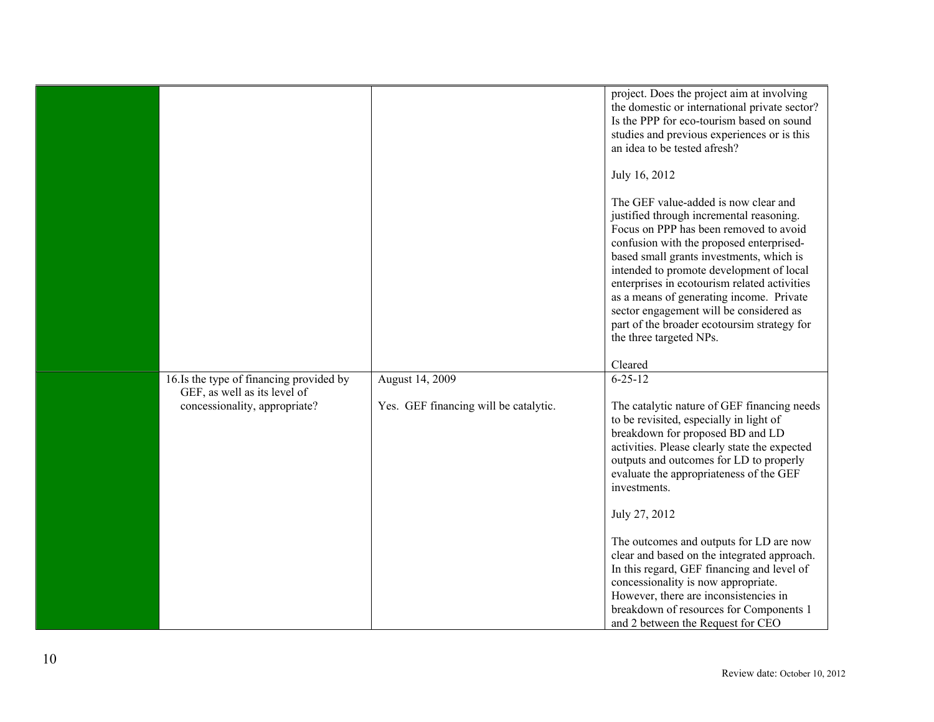|                                          |                                       | project. Does the project aim at involving                                                                                 |
|------------------------------------------|---------------------------------------|----------------------------------------------------------------------------------------------------------------------------|
|                                          |                                       | the domestic or international private sector?                                                                              |
|                                          |                                       | Is the PPP for eco-tourism based on sound                                                                                  |
|                                          |                                       | studies and previous experiences or is this<br>an idea to be tested afresh?                                                |
|                                          |                                       |                                                                                                                            |
|                                          |                                       | July 16, 2012                                                                                                              |
|                                          |                                       | The GEF value-added is now clear and<br>justified through incremental reasoning.<br>Focus on PPP has been removed to avoid |
|                                          |                                       | confusion with the proposed enterprised-<br>based small grants investments, which is                                       |
|                                          |                                       | intended to promote development of local<br>enterprises in ecotourism related activities                                   |
|                                          |                                       | as a means of generating income. Private<br>sector engagement will be considered as                                        |
|                                          |                                       | part of the broader ecotoursim strategy for                                                                                |
|                                          |                                       | the three targeted NPs.                                                                                                    |
|                                          |                                       | Cleared                                                                                                                    |
| 16. Is the type of financing provided by | August 14, 2009                       | $6 - 25 - 12$                                                                                                              |
| GEF, as well as its level of             |                                       |                                                                                                                            |
| concessionality, appropriate?            | Yes. GEF financing will be catalytic. | The catalytic nature of GEF financing needs<br>to be revisited, especially in light of                                     |
|                                          |                                       | breakdown for proposed BD and LD                                                                                           |
|                                          |                                       | activities. Please clearly state the expected                                                                              |
|                                          |                                       | outputs and outcomes for LD to properly                                                                                    |
|                                          |                                       | evaluate the appropriateness of the GEF<br>investments.                                                                    |
|                                          |                                       |                                                                                                                            |
|                                          |                                       | July 27, 2012                                                                                                              |
|                                          |                                       | The outcomes and outputs for LD are now                                                                                    |
|                                          |                                       | clear and based on the integrated approach.                                                                                |
|                                          |                                       | In this regard, GEF financing and level of                                                                                 |
|                                          |                                       | concessionality is now appropriate.<br>However, there are inconsistencies in                                               |
|                                          |                                       | breakdown of resources for Components 1                                                                                    |
|                                          |                                       | and 2 between the Request for CEO                                                                                          |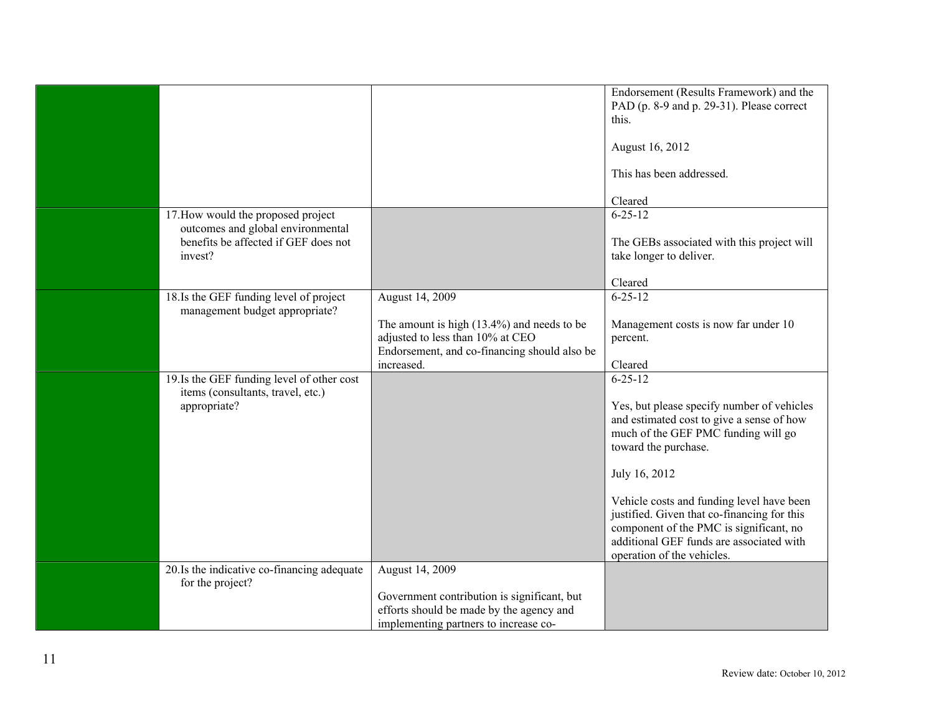|                                                                                                                            |                                                                                                                                                                    | Endorsement (Results Framework) and the<br>PAD (p. 8-9 and p. 29-31). Please correct<br>this.<br>August 16, 2012                                                                                                                                                                                                                                                                                          |
|----------------------------------------------------------------------------------------------------------------------------|--------------------------------------------------------------------------------------------------------------------------------------------------------------------|-----------------------------------------------------------------------------------------------------------------------------------------------------------------------------------------------------------------------------------------------------------------------------------------------------------------------------------------------------------------------------------------------------------|
|                                                                                                                            |                                                                                                                                                                    | This has been addressed.<br>Cleared                                                                                                                                                                                                                                                                                                                                                                       |
| 17. How would the proposed project<br>outcomes and global environmental<br>benefits be affected if GEF does not<br>invest? |                                                                                                                                                                    | $6 - 25 - 12$<br>The GEBs associated with this project will<br>take longer to deliver.                                                                                                                                                                                                                                                                                                                    |
| 18.Is the GEF funding level of project<br>management budget appropriate?                                                   | August 14, 2009<br>The amount is high $(13.4\%)$ and needs to be<br>adjusted to less than 10% at CEO<br>Endorsement, and co-financing should also be<br>increased. | Cleared<br>$6 - 25 - 12$<br>Management costs is now far under 10<br>percent.<br>Cleared                                                                                                                                                                                                                                                                                                                   |
| 19. Is the GEF funding level of other cost<br>items (consultants, travel, etc.)<br>appropriate?                            |                                                                                                                                                                    | $6 - 25 - 12$<br>Yes, but please specify number of vehicles<br>and estimated cost to give a sense of how<br>much of the GEF PMC funding will go<br>toward the purchase.<br>July 16, 2012<br>Vehicle costs and funding level have been<br>justified. Given that co-financing for this<br>component of the PMC is significant, no<br>additional GEF funds are associated with<br>operation of the vehicles. |
| 20. Is the indicative co-financing adequate<br>for the project?                                                            | August 14, 2009<br>Government contribution is significant, but<br>efforts should be made by the agency and<br>implementing partners to increase co-                |                                                                                                                                                                                                                                                                                                                                                                                                           |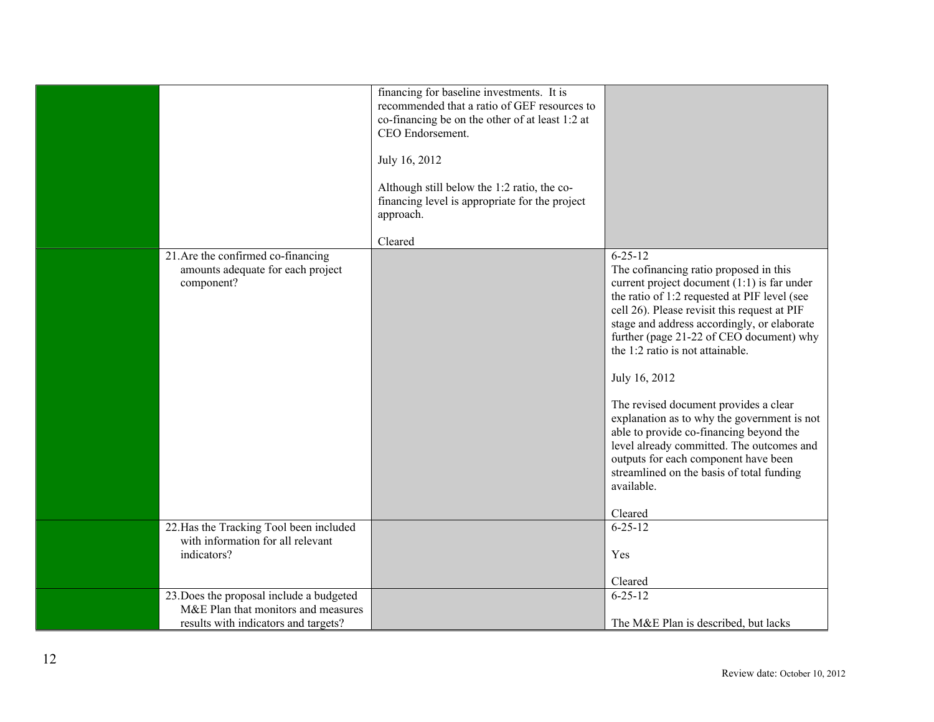|                                                                                             | financing for baseline investments. It is<br>recommended that a ratio of GEF resources to<br>co-financing be on the other of at least 1:2 at<br>CEO Endorsement.<br>July 16, 2012<br>Although still below the 1:2 ratio, the co-<br>financing level is appropriate for the project<br>approach. |                                                                                                                                                                                                                                                                                                                                                                                                                                                                                                                                                                                                                                             |
|---------------------------------------------------------------------------------------------|-------------------------------------------------------------------------------------------------------------------------------------------------------------------------------------------------------------------------------------------------------------------------------------------------|---------------------------------------------------------------------------------------------------------------------------------------------------------------------------------------------------------------------------------------------------------------------------------------------------------------------------------------------------------------------------------------------------------------------------------------------------------------------------------------------------------------------------------------------------------------------------------------------------------------------------------------------|
|                                                                                             | Cleared                                                                                                                                                                                                                                                                                         |                                                                                                                                                                                                                                                                                                                                                                                                                                                                                                                                                                                                                                             |
| 21. Are the confirmed co-financing<br>amounts adequate for each project<br>component?       |                                                                                                                                                                                                                                                                                                 | $6 - 25 - 12$<br>The cofinancing ratio proposed in this<br>current project document $(1:1)$ is far under<br>the ratio of 1:2 requested at PIF level (see<br>cell 26). Please revisit this request at PIF<br>stage and address accordingly, or elaborate<br>further (page 21-22 of CEO document) why<br>the 1:2 ratio is not attainable.<br>July 16, 2012<br>The revised document provides a clear<br>explanation as to why the government is not<br>able to provide co-financing beyond the<br>level already committed. The outcomes and<br>outputs for each component have been<br>streamlined on the basis of total funding<br>available. |
|                                                                                             |                                                                                                                                                                                                                                                                                                 | Cleared                                                                                                                                                                                                                                                                                                                                                                                                                                                                                                                                                                                                                                     |
| 22. Has the Tracking Tool been included<br>with information for all relevant<br>indicators? |                                                                                                                                                                                                                                                                                                 | $6 - 25 - 12$<br>Yes<br>Cleared                                                                                                                                                                                                                                                                                                                                                                                                                                                                                                                                                                                                             |
| 23. Does the proposal include a budgeted                                                    |                                                                                                                                                                                                                                                                                                 | $6 - 25 - 12$                                                                                                                                                                                                                                                                                                                                                                                                                                                                                                                                                                                                                               |
| M&E Plan that monitors and measures<br>results with indicators and targets?                 |                                                                                                                                                                                                                                                                                                 | The M&E Plan is described, but lacks                                                                                                                                                                                                                                                                                                                                                                                                                                                                                                                                                                                                        |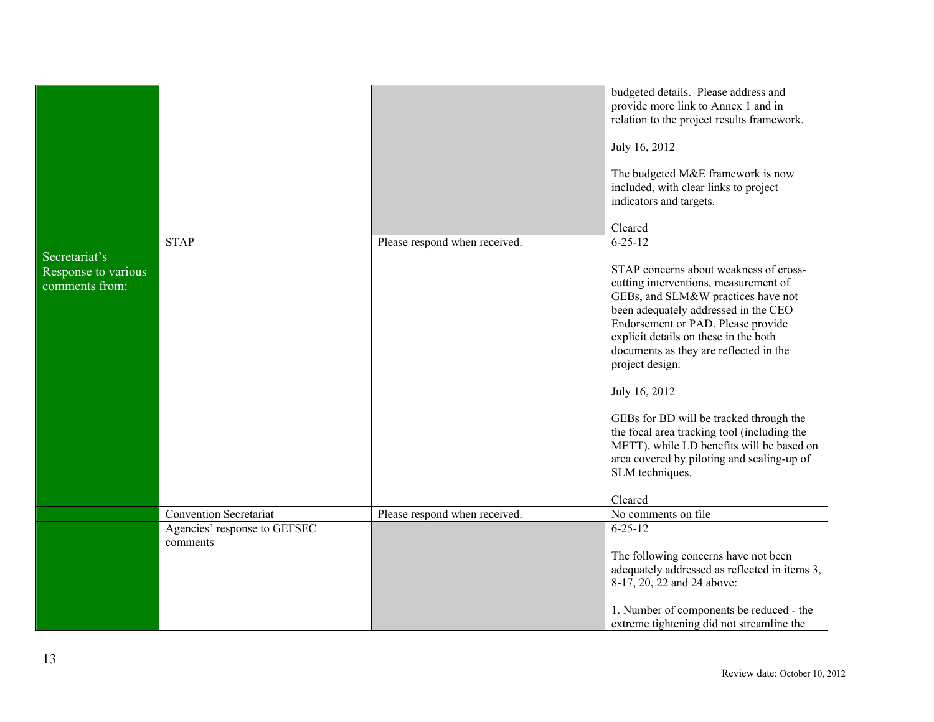|                                                        |                                          |                               | budgeted details. Please address and                                                                                                                                                                                                                                                                                                                                                                                                                                                                                               |
|--------------------------------------------------------|------------------------------------------|-------------------------------|------------------------------------------------------------------------------------------------------------------------------------------------------------------------------------------------------------------------------------------------------------------------------------------------------------------------------------------------------------------------------------------------------------------------------------------------------------------------------------------------------------------------------------|
|                                                        |                                          |                               | provide more link to Annex 1 and in                                                                                                                                                                                                                                                                                                                                                                                                                                                                                                |
|                                                        |                                          |                               | relation to the project results framework.                                                                                                                                                                                                                                                                                                                                                                                                                                                                                         |
|                                                        |                                          |                               | July 16, 2012                                                                                                                                                                                                                                                                                                                                                                                                                                                                                                                      |
|                                                        |                                          |                               |                                                                                                                                                                                                                                                                                                                                                                                                                                                                                                                                    |
|                                                        |                                          |                               | The budgeted M&E framework is now                                                                                                                                                                                                                                                                                                                                                                                                                                                                                                  |
|                                                        |                                          |                               | included, with clear links to project                                                                                                                                                                                                                                                                                                                                                                                                                                                                                              |
|                                                        |                                          |                               | indicators and targets.                                                                                                                                                                                                                                                                                                                                                                                                                                                                                                            |
|                                                        |                                          |                               |                                                                                                                                                                                                                                                                                                                                                                                                                                                                                                                                    |
|                                                        |                                          |                               | Cleared                                                                                                                                                                                                                                                                                                                                                                                                                                                                                                                            |
|                                                        | <b>STAP</b>                              | Please respond when received. | $6 - 25 - 12$                                                                                                                                                                                                                                                                                                                                                                                                                                                                                                                      |
| Secretariat's<br>Response to various<br>comments from: |                                          |                               | STAP concerns about weakness of cross-<br>cutting interventions, measurement of<br>GEBs, and SLM&W practices have not<br>been adequately addressed in the CEO<br>Endorsement or PAD. Please provide<br>explicit details on these in the both<br>documents as they are reflected in the<br>project design.<br>July 16, 2012<br>GEBs for BD will be tracked through the<br>the focal area tracking tool (including the<br>METT), while LD benefits will be based on<br>area covered by piloting and scaling-up of<br>SLM techniques. |
|                                                        |                                          |                               | Cleared                                                                                                                                                                                                                                                                                                                                                                                                                                                                                                                            |
|                                                        | <b>Convention Secretariat</b>            | Please respond when received. | No comments on file                                                                                                                                                                                                                                                                                                                                                                                                                                                                                                                |
|                                                        | Agencies' response to GEFSEC<br>comments |                               | $6 - 25 - 12$                                                                                                                                                                                                                                                                                                                                                                                                                                                                                                                      |
|                                                        |                                          |                               | The following concerns have not been                                                                                                                                                                                                                                                                                                                                                                                                                                                                                               |
|                                                        |                                          |                               | adequately addressed as reflected in items 3,                                                                                                                                                                                                                                                                                                                                                                                                                                                                                      |
|                                                        |                                          |                               | 8-17, 20, 22 and 24 above:                                                                                                                                                                                                                                                                                                                                                                                                                                                                                                         |
|                                                        |                                          |                               | 1. Number of components be reduced - the<br>extreme tightening did not streamline the                                                                                                                                                                                                                                                                                                                                                                                                                                              |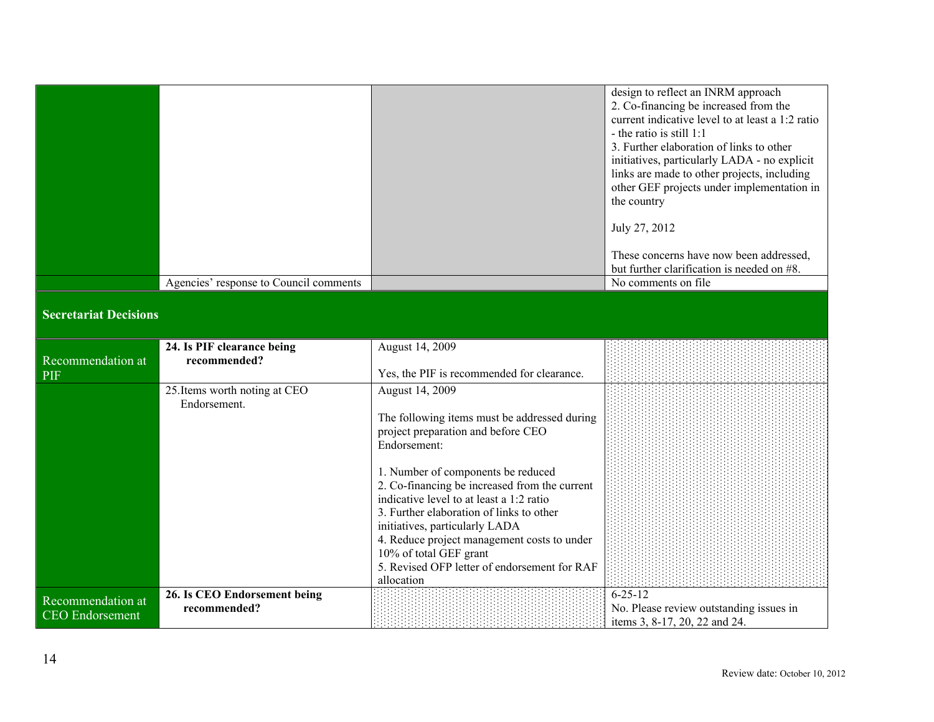|                                        | design to reflect an INRM approach               |
|----------------------------------------|--------------------------------------------------|
|                                        | 2. Co-financing be increased from the            |
|                                        | current indicative level to at least a 1:2 ratio |
|                                        | - the ratio is still $1:1$                       |
|                                        |                                                  |
|                                        | 3. Further elaboration of links to other         |
|                                        | initiatives, particularly LADA - no explicit     |
|                                        | links are made to other projects, including      |
|                                        | other GEF projects under implementation in       |
|                                        | the country                                      |
|                                        |                                                  |
|                                        | July 27, 2012                                    |
|                                        |                                                  |
|                                        | These concerns have now been addressed,          |
|                                        | but further clarification is needed on #8.       |
|                                        |                                                  |
| Agencies' response to Council comments | No comments on file.                             |

## **Secretariat Decisions**

|                                             | 24. Is PIF clearance being                    | August 14, 2009                                                                                                                                                                                                                                                                                                                        |                                                                                           |
|---------------------------------------------|-----------------------------------------------|----------------------------------------------------------------------------------------------------------------------------------------------------------------------------------------------------------------------------------------------------------------------------------------------------------------------------------------|-------------------------------------------------------------------------------------------|
| Recommendation at                           | recommended?                                  |                                                                                                                                                                                                                                                                                                                                        |                                                                                           |
| <b>PIF</b>                                  |                                               | Yes, the PIF is recommended for clearance.                                                                                                                                                                                                                                                                                             |                                                                                           |
|                                             | 25. Items worth noting at CEO<br>Endorsement. | August 14, 2009                                                                                                                                                                                                                                                                                                                        |                                                                                           |
|                                             |                                               | The following items must be addressed during<br>project preparation and before CEO<br>Endorsement:                                                                                                                                                                                                                                     |                                                                                           |
|                                             |                                               | 1. Number of components be reduced<br>2. Co-financing be increased from the current<br>indicative level to at least a 1:2 ratio<br>3. Further elaboration of links to other<br>initiatives, particularly LADA<br>4. Reduce project management costs to under<br>10% of total GEF grant<br>5. Revised OFP letter of endorsement for RAF |                                                                                           |
|                                             |                                               | allocation                                                                                                                                                                                                                                                                                                                             |                                                                                           |
| Recommendation at<br><b>CEO</b> Endorsement | 26. Is CEO Endorsement being<br>recommended?  |                                                                                                                                                                                                                                                                                                                                        | $6 - 25 - 12$<br>No. Please review outstanding issues in<br>items 3, 8-17, 20, 22 and 24. |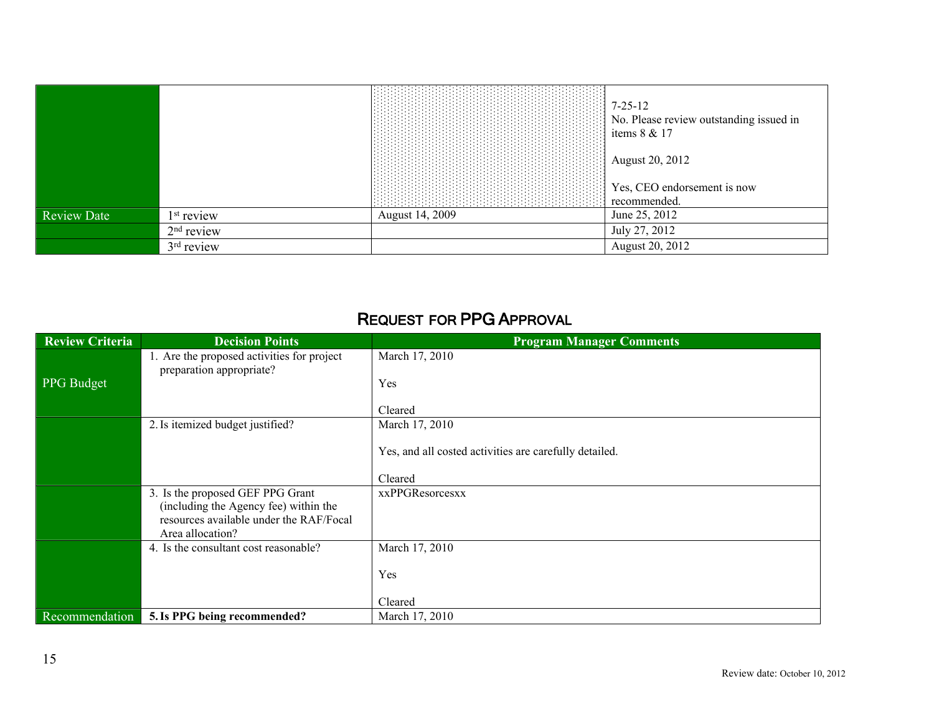|                    |                        |                 | $7 - 25 - 12$<br>No. Please review outstanding issued in<br>items 8 & 17 |
|--------------------|------------------------|-----------------|--------------------------------------------------------------------------|
|                    |                        |                 | August 20, 2012                                                          |
|                    |                        |                 | Yes, CEO endorsement is now<br>recommended.                              |
| <b>Review Date</b> | 1 <sup>st</sup> review | August 14, 2009 | June 25, 2012                                                            |
|                    | $2nd$ review           |                 | July 27, 2012                                                            |
|                    | 3 <sup>rd</sup> review |                 | August 20, 2012                                                          |

## **REQUEST FOR PPG APPROVAL**

| <b>Review Criteria</b> | <b>Decision Points</b>                                                                                                                   | <b>Program Manager Comments</b>                        |
|------------------------|------------------------------------------------------------------------------------------------------------------------------------------|--------------------------------------------------------|
|                        | 1. Are the proposed activities for project<br>preparation appropriate?                                                                   | March 17, 2010                                         |
| <b>PPG</b> Budget      |                                                                                                                                          | Yes                                                    |
|                        |                                                                                                                                          | Cleared                                                |
|                        | 2. Is itemized budget justified?                                                                                                         | March 17, 2010                                         |
|                        |                                                                                                                                          | Yes, and all costed activities are carefully detailed. |
|                        |                                                                                                                                          | Cleared                                                |
|                        | 3. Is the proposed GEF PPG Grant<br>(including the Agency fee) within the<br>resources available under the RAF/Focal<br>Area allocation? | <b>xxPPGResorcesxx</b>                                 |
|                        | 4. Is the consultant cost reasonable?                                                                                                    | March 17, 2010                                         |
|                        |                                                                                                                                          | Yes                                                    |
|                        |                                                                                                                                          | Cleared                                                |
| Recommendation         | 5. Is PPG being recommended?                                                                                                             | March 17, 2010                                         |